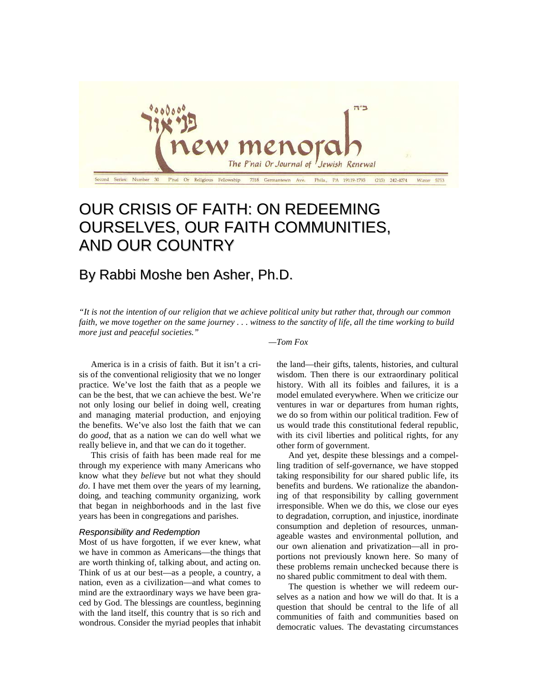

# OUR CRISIS OF FAITH: ON REDEEMING OURSELVES, OUR FAITH COMMUNITIES, AND OUR COUNTRY

# By Rabbi Moshe ben Asher, Ph.D.

*"It is not the intention of our religion that we achieve political unity but rather that, through our common faith, we move together on the same journey . . . witness to the sanctity of life, all the time working to build more just and peaceful societies."*

### *—Tom Fox*

America is in a crisis of faith. But it isn't a crisis of the conventional religiosity that we no longer practice. We've lost the faith that as a people we can be the best, that we can achieve the best. We're not only losing our belief in doing well, creating and managing material production, and enjoying the benefits. We've also lost the faith that we can do *good*, that as a nation we can do well what we really believe in, and that we can do it together.

This crisis of faith has been made real for me through my experience with many Americans who know what they *believe* but not what they should *do*. I have met them over the years of my learning, doing, and teaching community organizing, work that began in neighborhoods and in the last five years has been in congregations and parishes.

# *Responsibility and Redemption*

Most of us have forgotten, if we ever knew, what we have in common as Americans—the things that are worth thinking of, talking about, and acting on. Think of us at our best—as a people, a country, a nation, even as a civilization—and what comes to mind are the extraordinary ways we have been graced by God. The blessings are countless, beginning with the land itself, this country that is so rich and wondrous. Consider the myriad peoples that inhabit the land—their gifts, talents, histories, and cultural wisdom. Then there is our extraordinary political history. With all its foibles and failures, it is a model emulated everywhere. When we criticize our ventures in war or departures from human rights, we do so from within our political tradition. Few of us would trade this constitutional federal republic, with its civil liberties and political rights, for any other form of government.

And yet, despite these blessings and a compelling tradition of self-governance, we have stopped taking responsibility for our shared public life, its benefits and burdens. We rationalize the abandoning of that responsibility by calling government irresponsible. When we do this, we close our eyes to degradation, corruption, and injustice, inordinate consumption and depletion of resources, unmanageable wastes and environmental pollution, and our own alienation and privatization—all in proportions not previously known here. So many of these problems remain unchecked because there is no shared public commitment to deal with them.

The question is whether we will redeem ourselves as a nation and how we will do that. It is a question that should be central to the life of all communities of faith and communities based on democratic values. The devastating circumstances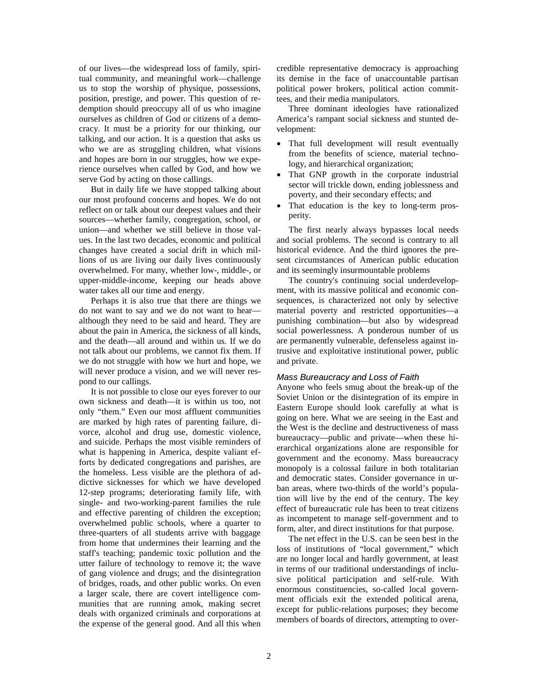of our lives—the widespread loss of family, spiritual community, and meaningful work—challenge us to stop the worship of physique, possessions, position, prestige, and power. This question of redemption should preoccupy all of us who imagine ourselves as children of God or citizens of a democracy. It must be a priority for our thinking, our talking, and our action. It is a question that asks us who we are as struggling children, what visions and hopes are born in our struggles, how we experience ourselves when called by God, and how we serve God by acting on those callings.

But in daily life we have stopped talking about our most profound concerns and hopes. We do not reflect on or talk about our deepest values and their sources—whether family, congregation, school, or union—and whether we still believe in those values. In the last two decades, economic and political changes have created a social drift in which millions of us are living our daily lives continuously overwhelmed. For many, whether low-, middle-, or upper-middle-income, keeping our heads above water takes all our time and energy.

Perhaps it is also true that there are things we do not want to say and we do not want to hear although they need to be said and heard. They are about the pain in America, the sickness of all kinds, and the death—all around and within us. If we do not talk about our problems, we cannot fix them. If we do not struggle with how we hurt and hope, we will never produce a vision, and we will never respond to our callings.

It is not possible to close our eyes forever to our own sickness and death—it is within us too, not only "them." Even our most affluent communities are marked by high rates of parenting failure, divorce, alcohol and drug use, domestic violence, and suicide. Perhaps the most visible reminders of what is happening in America, despite valiant efforts by dedicated congregations and parishes, are the homeless. Less visible are the plethora of addictive sicknesses for which we have developed 12-step programs; deteriorating family life, with single- and two-working-parent families the rule and effective parenting of children the exception; overwhelmed public schools, where a quarter to three-quarters of all students arrive with baggage from home that undermines their learning and the staff's teaching; pandemic toxic pollution and the utter failure of technology to remove it; the wave of gang violence and drugs; and the disintegration of bridges, roads, and other public works. On even a larger scale, there are covert intelligence communities that are running amok, making secret deals with organized criminals and corporations at the expense of the general good. And all this when credible representative democracy is approaching its demise in the face of unaccountable partisan political power brokers, political action committees, and their media manipulators.

Three dominant ideologies have rationalized America's rampant social sickness and stunted development:

- That full development will result eventually from the benefits of science, material technology, and hierarchical organization;
- That GNP growth in the corporate industrial sector will trickle down, ending joblessness and poverty, and their secondary effects; and
- That education is the key to long-term prosperity.

The first nearly always bypasses local needs and social problems. The second is contrary to all historical evidence. And the third ignores the present circumstances of American public education and its seemingly insurmountable problems

The country's continuing social underdevelopment, with its massive political and economic consequences, is characterized not only by selective material poverty and restricted opportunities—a punishing combination—but also by widespread social powerlessness. A ponderous number of us are permanently vulnerable, defenseless against intrusive and exploitative institutional power, public and private.

### *Mass Bureaucracy and Loss of Faith*

Anyone who feels smug about the break-up of the Soviet Union or the disintegration of its empire in Eastern Europe should look carefully at what is going on here. What we are seeing in the East and the West is the decline and destructiveness of mass bureaucracy—public and private—when these hierarchical organizations alone are responsible for government and the economy. Mass bureaucracy monopoly is a colossal failure in both totalitarian and democratic states. Consider governance in urban areas, where two-thirds of the world's population will live by the end of the century. The key effect of bureaucratic rule has been to treat citizens as incompetent to manage self-government and to form, alter, and direct institutions for that purpose.

The net effect in the U.S. can be seen best in the loss of institutions of "local government," which are no longer local and hardly government, at least in terms of our traditional understandings of inclusive political participation and self-rule. With enormous constituencies, so-called local government officials exit the extended political arena, except for public-relations purposes; they become members of boards of directors, attempting to over-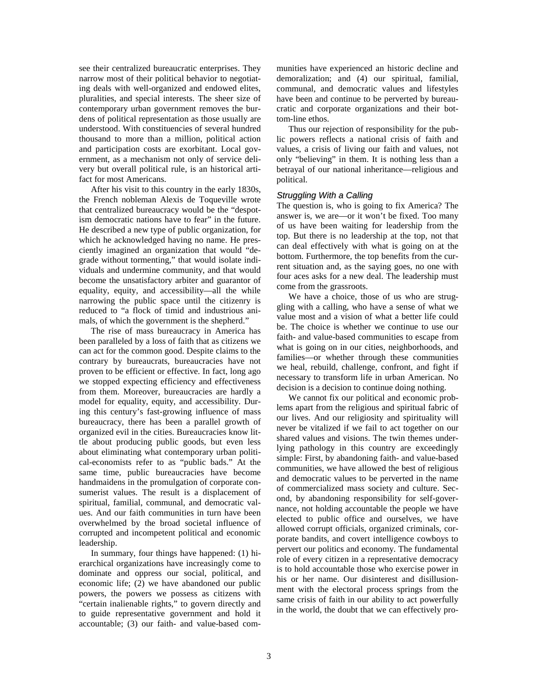see their centralized bureaucratic enterprises. They narrow most of their political behavior to negotiating deals with well-organized and endowed elites, pluralities, and special interests. The sheer size of contemporary urban government removes the burdens of political representation as those usually are understood. With constituencies of several hundred thousand to more than a million, political action and participation costs are exorbitant. Local government, as a mechanism not only of service delivery but overall political rule, is an historical artifact for most Americans.

After his visit to this country in the early 1830s, the French nobleman Alexis de Toqueville wrote that centralized bureaucracy would be the "despotism democratic nations have to fear" in the future. He described a new type of public organization, for which he acknowledged having no name. He presciently imagined an organization that would "degrade without tormenting," that would isolate individuals and undermine community, and that would become the unsatisfactory arbiter and guarantor of equality, equity, and accessibility—all the while narrowing the public space until the citizenry is reduced to "a flock of timid and industrious animals, of which the government is the shepherd."

The rise of mass bureaucracy in America has been paralleled by a loss of faith that as citizens we can act for the common good. Despite claims to the contrary by bureaucrats, bureaucracies have not proven to be efficient or effective. In fact, long ago we stopped expecting efficiency and effectiveness from them. Moreover, bureaucracies are hardly a model for equality, equity, and accessibility. During this century's fast-growing influence of mass bureaucracy, there has been a parallel growth of organized evil in the cities. Bureaucracies know little about producing public goods, but even less about eliminating what contemporary urban political-economists refer to as "public bads." At the same time, public bureaucracies have become handmaidens in the promulgation of corporate consumerist values. The result is a displacement of spiritual, familial, communal, and democratic values. And our faith communities in turn have been overwhelmed by the broad societal influence of corrupted and incompetent political and economic leadership.

In summary, four things have happened: (1) hierarchical organizations have increasingly come to dominate and oppress our social, political, and economic life; (2) we have abandoned our public powers, the powers we possess as citizens with "certain inalienable rights," to govern directly and to guide representative government and hold it accountable; (3) our faith- and value-based communities have experienced an historic decline and demoralization; and (4) our spiritual, familial, communal, and democratic values and lifestyles have been and continue to be perverted by bureaucratic and corporate organizations and their bottom-line ethos.

Thus our rejection of responsibility for the public powers reflects a national crisis of faith and values, a crisis of living our faith and values, not only "believing" in them. It is nothing less than a betrayal of our national inheritance—religious and political.

### *Struggling With a Calling*

The question is, who is going to fix America? The answer is, we are—or it won't be fixed. Too many of us have been waiting for leadership from the top. But there is no leadership at the top, not that can deal effectively with what is going on at the bottom. Furthermore, the top benefits from the current situation and, as the saying goes, no one with four aces asks for a new deal. The leadership must come from the grassroots.

We have a choice, those of us who are struggling with a calling, who have a sense of what we value most and a vision of what a better life could be. The choice is whether we continue to use our faith- and value-based communities to escape from what is going on in our cities, neighborhoods, and families—or whether through these communities we heal, rebuild, challenge, confront, and fight if necessary to transform life in urban American. No decision is a decision to continue doing nothing.

We cannot fix our political and economic problems apart from the religious and spiritual fabric of our lives. And our religiosity and spirituality will never be vitalized if we fail to act together on our shared values and visions. The twin themes underlying pathology in this country are exceedingly simple: First, by abandoning faith- and value-based communities, we have allowed the best of religious and democratic values to be perverted in the name of commercialized mass society and culture. Second, by abandoning responsibility for self-governance, not holding accountable the people we have elected to public office and ourselves, we have allowed corrupt officials, organized criminals, corporate bandits, and covert intelligence cowboys to pervert our politics and economy. The fundamental role of every citizen in a representative democracy is to hold accountable those who exercise power in his or her name. Our disinterest and disillusionment with the electoral process springs from the same crisis of faith in our ability to act powerfully in the world, the doubt that we can effectively pro